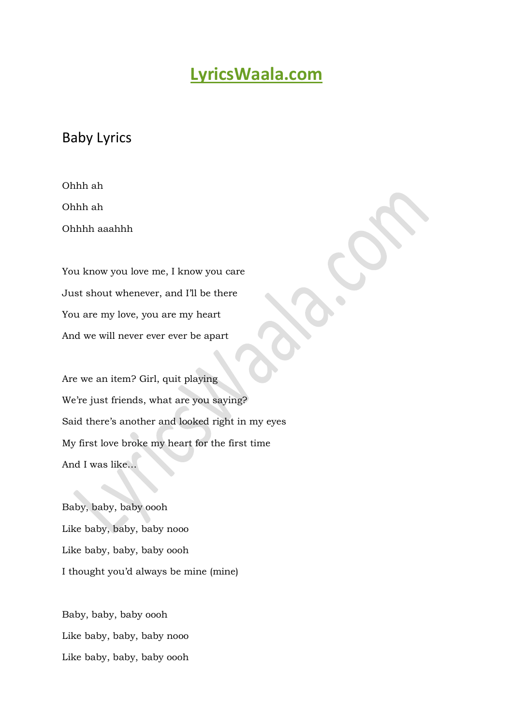## **[LyricsWaala.com](https://www.lyricswaala.com/)**

## Baby Lyrics

Ohhh ah Ohhh ah

Ohhhh aaahhh

You know you love me, I know you care Just shout whenever, and I'll be there You are my love, you are my heart And we will never ever ever be apart

Are we an item? Girl, quit playing We're just friends, what are you saying? Said there's another and looked right in my eyes My first love broke my heart for the first time And I was like…

Baby, baby, baby oooh Like baby, baby, baby nooo Like baby, baby, baby oooh I thought you'd always be mine (mine)

Baby, baby, baby oooh Like baby, baby, baby nooo Like baby, baby, baby oooh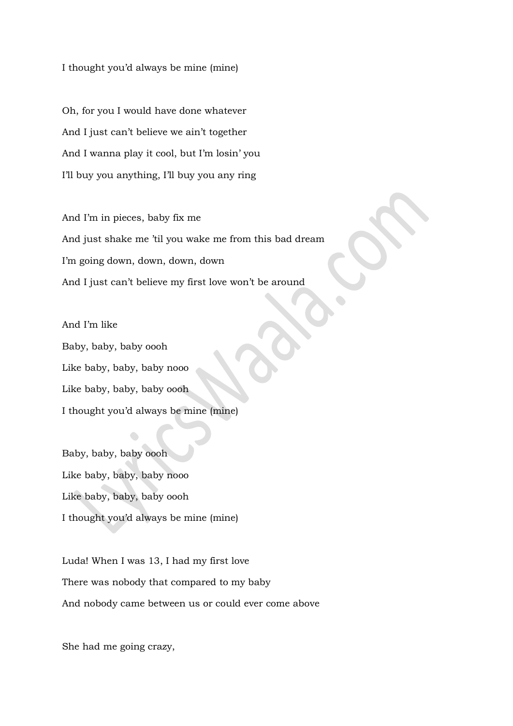I thought you'd always be mine (mine)

Oh, for you I would have done whatever And I just can't believe we ain't together And I wanna play it cool, but I'm losin' you I'll buy you anything, I'll buy you any ring

And I'm in pieces, baby fix me And just shake me 'til you wake me from this bad dream I'm going down, down, down, down And I just can't believe my first love won't be around

And I'm like Baby, baby, baby oooh Like baby, baby, baby nooo Like baby, baby, baby oooh I thought you'd always be mine (mine)

Baby, baby, baby oooh Like baby, baby, baby nooo Like baby, baby, baby oooh I thought you'd always be mine (mine)

Luda! When I was 13, I had my first love There was nobody that compared to my baby And nobody came between us or could ever come above

She had me going crazy,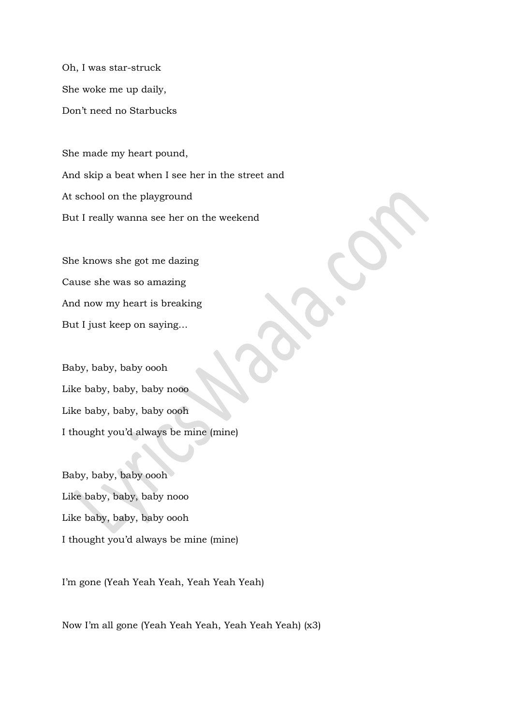Oh, I was star-struck She woke me up daily, Don't need no Starbucks

She made my heart pound, And skip a beat when I see her in the street and At school on the playground But I really wanna see her on the weekend

She knows she got me dazing Cause she was so amazing And now my heart is breaking But I just keep on saying…

Baby, baby, baby oooh Like baby, baby, baby nooo Like baby, baby, baby oooh I thought you'd always be mine (mine)

Baby, baby, baby oooh Like baby, baby, baby nooo Like baby, baby, baby oooh I thought you'd always be mine (mine)

I'm gone (Yeah Yeah Yeah, Yeah Yeah Yeah)

Now I'm all gone (Yeah Yeah Yeah, Yeah Yeah Yeah) (x3)